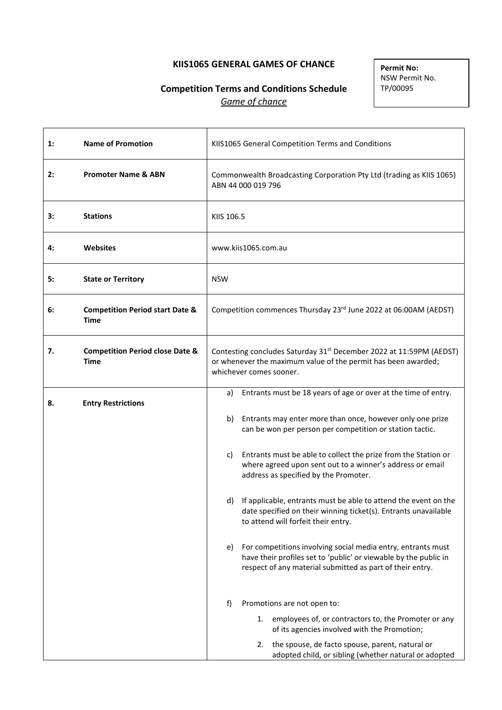# **KIIS1065 GENERAL GAMES OF CHANCE**

# **Competition Terms and Conditions Schedule** *Game of chance*

**Permit No:** NSW Permit No. TP/00095

| $\mathbf{1}$ : | <b>Name of Promotion</b>                           |                                                                                                                                                                             | KIIS1065 General Competition Terms and Conditions                                                                                                                                             |
|----------------|----------------------------------------------------|-----------------------------------------------------------------------------------------------------------------------------------------------------------------------------|-----------------------------------------------------------------------------------------------------------------------------------------------------------------------------------------------|
| 2:             | <b>Promoter Name &amp; ABN</b>                     |                                                                                                                                                                             | Commonwealth Broadcasting Corporation Pty Ltd (trading as KIIS 1065)<br>ABN 44 000 019 796                                                                                                    |
| 3:             | <b>Stations</b>                                    | KIIS 106.5                                                                                                                                                                  |                                                                                                                                                                                               |
| 4:             | <b>Websites</b>                                    |                                                                                                                                                                             | www.kiis1065.com.au                                                                                                                                                                           |
| 5:             | <b>State or Territory</b>                          | <b>NSW</b>                                                                                                                                                                  |                                                                                                                                                                                               |
| 6:             | <b>Competition Period start Date &amp;</b><br>Time |                                                                                                                                                                             | Competition commences Thursday 23rd June 2022 at 06:00AM (AEDST)                                                                                                                              |
| 7.             | <b>Competition Period close Date &amp;</b><br>Time | Contesting concludes Saturday 31 <sup>st</sup> December 2022 at 11:59PM (AEDST)<br>or whenever the maximum value of the permit has been awarded;<br>whichever comes sooner. |                                                                                                                                                                                               |
| 8.             | <b>Entry Restrictions</b>                          | a)                                                                                                                                                                          | Entrants must be 18 years of age or over at the time of entry.                                                                                                                                |
|                |                                                    | b)                                                                                                                                                                          | Entrants may enter more than once, however only one prize<br>can be won per person per competition or station tactic.                                                                         |
|                |                                                    | C)                                                                                                                                                                          | Entrants must be able to collect the prize from the Station or<br>where agreed upon sent out to a winner's address or email<br>address as specified by the Promoter.                          |
|                |                                                    | d)                                                                                                                                                                          | If applicable, entrants must be able to attend the event on the<br>date specified on their winning ticket(s). Entrants unavailable<br>to attend will forfeit their entry.                     |
|                |                                                    | e)                                                                                                                                                                          | For competitions involving social media entry, entrants must<br>have their profiles set to 'public' or viewable by the public in<br>respect of any material submitted as part of their entry. |
|                |                                                    | f)                                                                                                                                                                          | Promotions are not open to:                                                                                                                                                                   |
|                |                                                    |                                                                                                                                                                             | 1. employees of, or contractors to, the Promoter or any<br>of its agencies involved with the Promotion;                                                                                       |
|                |                                                    |                                                                                                                                                                             | the spouse, de facto spouse, parent, natural or<br>2.<br>adopted child, or sibling (whether natural or adopted                                                                                |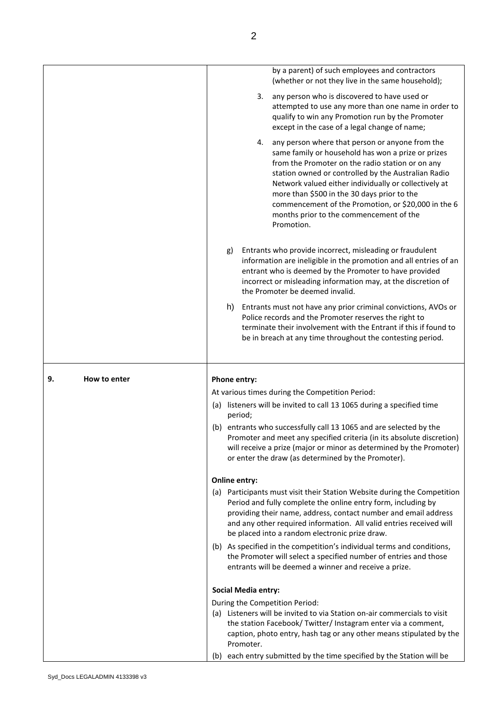|                    | by a parent) of such employees and contractors<br>(whether or not they live in the same household);                                                                                                                                                                                                                                                                                                                                            |
|--------------------|------------------------------------------------------------------------------------------------------------------------------------------------------------------------------------------------------------------------------------------------------------------------------------------------------------------------------------------------------------------------------------------------------------------------------------------------|
|                    | any person who is discovered to have used or<br>3.<br>attempted to use any more than one name in order to<br>qualify to win any Promotion run by the Promoter<br>except in the case of a legal change of name;                                                                                                                                                                                                                                 |
|                    | any person where that person or anyone from the<br>4.<br>same family or household has won a prize or prizes<br>from the Promoter on the radio station or on any<br>station owned or controlled by the Australian Radio<br>Network valued either individually or collectively at<br>more than \$500 in the 30 days prior to the<br>commencement of the Promotion, or \$20,000 in the 6<br>months prior to the commencement of the<br>Promotion. |
|                    | Entrants who provide incorrect, misleading or fraudulent<br>g)<br>information are ineligible in the promotion and all entries of an<br>entrant who is deemed by the Promoter to have provided<br>incorrect or misleading information may, at the discretion of<br>the Promoter be deemed invalid.                                                                                                                                              |
|                    | Entrants must not have any prior criminal convictions, AVOs or<br>h)<br>Police records and the Promoter reserves the right to<br>terminate their involvement with the Entrant if this if found to<br>be in breach at any time throughout the contesting period.                                                                                                                                                                                |
| 9.<br>How to enter | Phone entry:                                                                                                                                                                                                                                                                                                                                                                                                                                   |
|                    | At various times during the Competition Period:                                                                                                                                                                                                                                                                                                                                                                                                |
|                    | (a) listeners will be invited to call 13 1065 during a specified time<br>period;                                                                                                                                                                                                                                                                                                                                                               |
|                    | (b) entrants who successfully call 13 1065 and are selected by the<br>Promoter and meet any specified criteria (in its absolute discretion)<br>will receive a prize (major or minor as determined by the Promoter)<br>or enter the draw (as determined by the Promoter).                                                                                                                                                                       |
|                    | <b>Online entry:</b>                                                                                                                                                                                                                                                                                                                                                                                                                           |
|                    |                                                                                                                                                                                                                                                                                                                                                                                                                                                |
|                    | (a) Participants must visit their Station Website during the Competition<br>Period and fully complete the online entry form, including by<br>providing their name, address, contact number and email address<br>and any other required information. All valid entries received will<br>be placed into a random electronic prize draw.                                                                                                          |
|                    | (b) As specified in the competition's individual terms and conditions,<br>the Promoter will select a specified number of entries and those<br>entrants will be deemed a winner and receive a prize.                                                                                                                                                                                                                                            |
|                    | <b>Social Media entry:</b>                                                                                                                                                                                                                                                                                                                                                                                                                     |
|                    | During the Competition Period:                                                                                                                                                                                                                                                                                                                                                                                                                 |
|                    | (a) Listeners will be invited to via Station on-air commercials to visit                                                                                                                                                                                                                                                                                                                                                                       |
|                    | the station Facebook/ Twitter/ Instagram enter via a comment,<br>caption, photo entry, hash tag or any other means stipulated by the<br>Promoter.                                                                                                                                                                                                                                                                                              |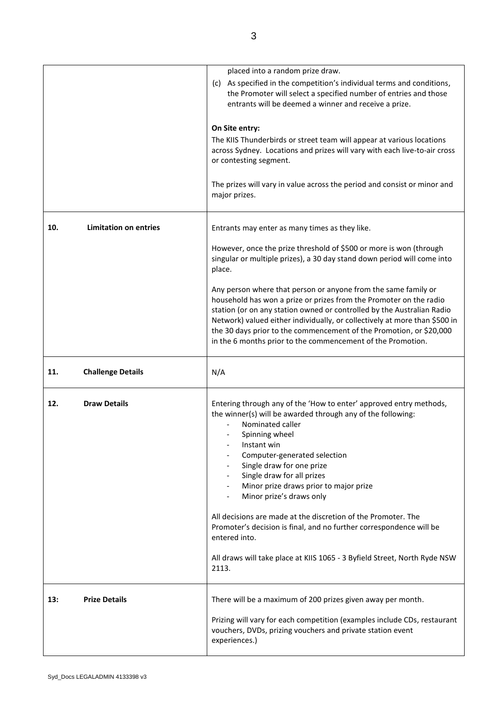| placed into a random prize draw.<br>(c) As specified in the competition's individual terms and conditions,<br>the Promoter will select a specified number of entries and those<br>entrants will be deemed a winner and receive a prize. |  |
|-----------------------------------------------------------------------------------------------------------------------------------------------------------------------------------------------------------------------------------------|--|
|                                                                                                                                                                                                                                         |  |
|                                                                                                                                                                                                                                         |  |
|                                                                                                                                                                                                                                         |  |
|                                                                                                                                                                                                                                         |  |
|                                                                                                                                                                                                                                         |  |
| On Site entry:                                                                                                                                                                                                                          |  |
|                                                                                                                                                                                                                                         |  |
| The KIIS Thunderbirds or street team will appear at various locations                                                                                                                                                                   |  |
| across Sydney. Locations and prizes will vary with each live-to-air cross                                                                                                                                                               |  |
| or contesting segment.                                                                                                                                                                                                                  |  |
|                                                                                                                                                                                                                                         |  |
| The prizes will vary in value across the period and consist or minor and                                                                                                                                                                |  |
| major prizes.                                                                                                                                                                                                                           |  |
|                                                                                                                                                                                                                                         |  |
|                                                                                                                                                                                                                                         |  |
| <b>Limitation on entries</b><br>10.<br>Entrants may enter as many times as they like.                                                                                                                                                   |  |
|                                                                                                                                                                                                                                         |  |
|                                                                                                                                                                                                                                         |  |
| However, once the prize threshold of \$500 or more is won (through                                                                                                                                                                      |  |
| singular or multiple prizes), a 30 day stand down period will come into                                                                                                                                                                 |  |
| place.                                                                                                                                                                                                                                  |  |
|                                                                                                                                                                                                                                         |  |
| Any person where that person or anyone from the same family or                                                                                                                                                                          |  |
| household has won a prize or prizes from the Promoter on the radio                                                                                                                                                                      |  |
| station (or on any station owned or controlled by the Australian Radio                                                                                                                                                                  |  |
| Network) valued either individually, or collectively at more than \$500 in                                                                                                                                                              |  |
| the 30 days prior to the commencement of the Promotion, or \$20,000                                                                                                                                                                     |  |
| in the 6 months prior to the commencement of the Promotion.                                                                                                                                                                             |  |
|                                                                                                                                                                                                                                         |  |
|                                                                                                                                                                                                                                         |  |
|                                                                                                                                                                                                                                         |  |
| <b>Challenge Details</b><br>N/A<br>11.                                                                                                                                                                                                  |  |
|                                                                                                                                                                                                                                         |  |
|                                                                                                                                                                                                                                         |  |
| <b>Draw Details</b><br>Entering through any of the 'How to enter' approved entry methods,<br>12.                                                                                                                                        |  |
| the winner(s) will be awarded through any of the following:                                                                                                                                                                             |  |
| Nominated caller                                                                                                                                                                                                                        |  |
| Spinning wheel                                                                                                                                                                                                                          |  |
| Instant win                                                                                                                                                                                                                             |  |
| Computer-generated selection                                                                                                                                                                                                            |  |
| Single draw for one prize                                                                                                                                                                                                               |  |
|                                                                                                                                                                                                                                         |  |
| Single draw for all prizes                                                                                                                                                                                                              |  |
| Minor prize draws prior to major prize                                                                                                                                                                                                  |  |
| Minor prize's draws only                                                                                                                                                                                                                |  |
|                                                                                                                                                                                                                                         |  |
| All decisions are made at the discretion of the Promoter. The                                                                                                                                                                           |  |
| Promoter's decision is final, and no further correspondence will be                                                                                                                                                                     |  |
| entered into.                                                                                                                                                                                                                           |  |
|                                                                                                                                                                                                                                         |  |
| All draws will take place at KIIS 1065 - 3 Byfield Street, North Ryde NSW                                                                                                                                                               |  |
| 2113.                                                                                                                                                                                                                                   |  |
|                                                                                                                                                                                                                                         |  |
|                                                                                                                                                                                                                                         |  |
| <b>Prize Details</b><br>There will be a maximum of 200 prizes given away per month.<br>13:                                                                                                                                              |  |
|                                                                                                                                                                                                                                         |  |
| Prizing will vary for each competition (examples include CDs, restaurant                                                                                                                                                                |  |
| vouchers, DVDs, prizing vouchers and private station event<br>experiences.)                                                                                                                                                             |  |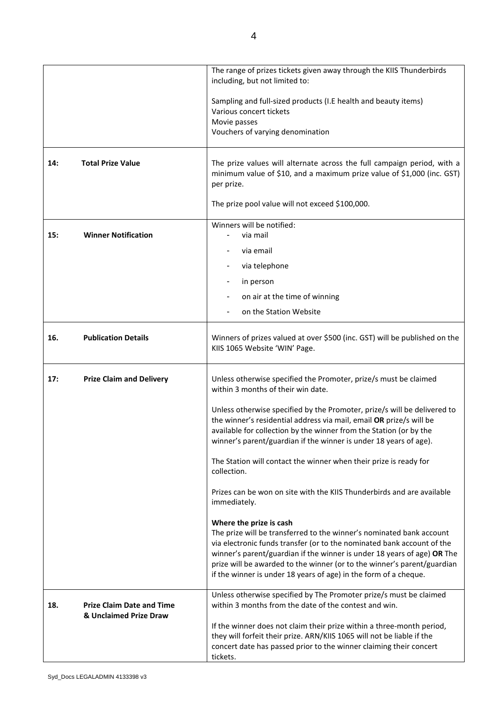|     |                                                            | The range of prizes tickets given away through the KIIS Thunderbirds<br>including, but not limited to:                                                                                                                                                                                                                                                                                              |
|-----|------------------------------------------------------------|-----------------------------------------------------------------------------------------------------------------------------------------------------------------------------------------------------------------------------------------------------------------------------------------------------------------------------------------------------------------------------------------------------|
|     |                                                            | Sampling and full-sized products (I.E health and beauty items)<br>Various concert tickets<br>Movie passes                                                                                                                                                                                                                                                                                           |
|     |                                                            | Vouchers of varying denomination                                                                                                                                                                                                                                                                                                                                                                    |
| 14: | <b>Total Prize Value</b>                                   | The prize values will alternate across the full campaign period, with a<br>minimum value of \$10, and a maximum prize value of \$1,000 (inc. GST)<br>per prize.                                                                                                                                                                                                                                     |
|     |                                                            | The prize pool value will not exceed \$100,000.                                                                                                                                                                                                                                                                                                                                                     |
| 15: | <b>Winner Notification</b>                                 | Winners will be notified:<br>via mail                                                                                                                                                                                                                                                                                                                                                               |
|     |                                                            | via email                                                                                                                                                                                                                                                                                                                                                                                           |
|     |                                                            | via telephone                                                                                                                                                                                                                                                                                                                                                                                       |
|     |                                                            | in person                                                                                                                                                                                                                                                                                                                                                                                           |
|     |                                                            | on air at the time of winning                                                                                                                                                                                                                                                                                                                                                                       |
|     |                                                            | on the Station Website                                                                                                                                                                                                                                                                                                                                                                              |
| 16. | <b>Publication Details</b>                                 | Winners of prizes valued at over \$500 (inc. GST) will be published on the<br>KIIS 1065 Website 'WIN' Page.                                                                                                                                                                                                                                                                                         |
| 17: | <b>Prize Claim and Delivery</b>                            | Unless otherwise specified the Promoter, prize/s must be claimed<br>within 3 months of their win date.                                                                                                                                                                                                                                                                                              |
|     |                                                            | Unless otherwise specified by the Promoter, prize/s will be delivered to<br>the winner's residential address via mail, email OR prize/s will be<br>available for collection by the winner from the Station (or by the<br>winner's parent/guardian if the winner is under 18 years of age).                                                                                                          |
|     |                                                            | The Station will contact the winner when their prize is ready for<br>collection.                                                                                                                                                                                                                                                                                                                    |
|     |                                                            | Prizes can be won on site with the KIIS Thunderbirds and are available<br>immediately.                                                                                                                                                                                                                                                                                                              |
|     |                                                            | Where the prize is cash<br>The prize will be transferred to the winner's nominated bank account<br>via electronic funds transfer (or to the nominated bank account of the<br>winner's parent/guardian if the winner is under 18 years of age) OR The<br>prize will be awarded to the winner (or to the winner's parent/guardian<br>if the winner is under 18 years of age) in the form of a cheque. |
| 18. | <b>Prize Claim Date and Time</b><br>& Unclaimed Prize Draw | Unless otherwise specified by The Promoter prize/s must be claimed<br>within 3 months from the date of the contest and win.                                                                                                                                                                                                                                                                         |
|     |                                                            | If the winner does not claim their prize within a three-month period,<br>they will forfeit their prize. ARN/KIIS 1065 will not be liable if the                                                                                                                                                                                                                                                     |
|     |                                                            | concert date has passed prior to the winner claiming their concert<br>tickets.                                                                                                                                                                                                                                                                                                                      |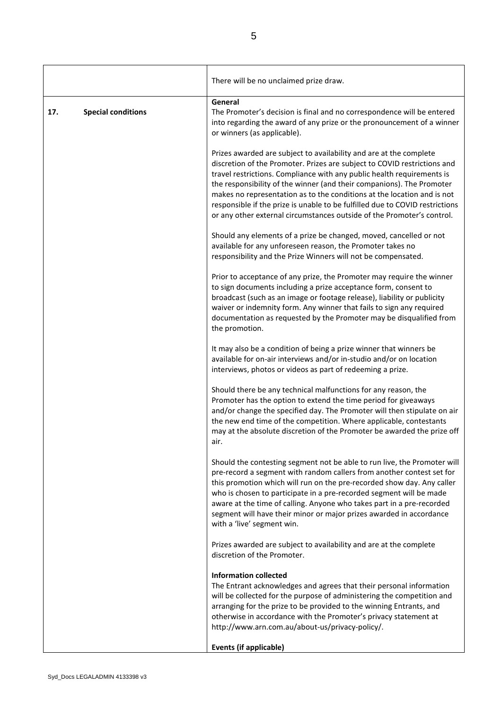|     |                           | There will be no unclaimed prize draw.                                                                                                                                                                                                                                                                                                                                                                                                                                                                                                 |
|-----|---------------------------|----------------------------------------------------------------------------------------------------------------------------------------------------------------------------------------------------------------------------------------------------------------------------------------------------------------------------------------------------------------------------------------------------------------------------------------------------------------------------------------------------------------------------------------|
| 17. | <b>Special conditions</b> | General<br>The Promoter's decision is final and no correspondence will be entered<br>into regarding the award of any prize or the pronouncement of a winner<br>or winners (as applicable).                                                                                                                                                                                                                                                                                                                                             |
|     |                           | Prizes awarded are subject to availability and are at the complete<br>discretion of the Promoter. Prizes are subject to COVID restrictions and<br>travel restrictions. Compliance with any public health requirements is<br>the responsibility of the winner (and their companions). The Promoter<br>makes no representation as to the conditions at the location and is not<br>responsible if the prize is unable to be fulfilled due to COVID restrictions<br>or any other external circumstances outside of the Promoter's control. |
|     |                           | Should any elements of a prize be changed, moved, cancelled or not<br>available for any unforeseen reason, the Promoter takes no<br>responsibility and the Prize Winners will not be compensated.                                                                                                                                                                                                                                                                                                                                      |
|     |                           | Prior to acceptance of any prize, the Promoter may require the winner<br>to sign documents including a prize acceptance form, consent to<br>broadcast (such as an image or footage release), liability or publicity<br>waiver or indemnity form. Any winner that fails to sign any required<br>documentation as requested by the Promoter may be disqualified from<br>the promotion.                                                                                                                                                   |
|     |                           | It may also be a condition of being a prize winner that winners be<br>available for on-air interviews and/or in-studio and/or on location<br>interviews, photos or videos as part of redeeming a prize.                                                                                                                                                                                                                                                                                                                                |
|     |                           | Should there be any technical malfunctions for any reason, the<br>Promoter has the option to extend the time period for giveaways<br>and/or change the specified day. The Promoter will then stipulate on air<br>the new end time of the competition. Where applicable, contestants<br>may at the absolute discretion of the Promoter be awarded the prize off<br>air.                                                                                                                                                                 |
|     |                           | Should the contesting segment not be able to run live, the Promoter will<br>pre-record a segment with random callers from another contest set for<br>this promotion which will run on the pre-recorded show day. Any caller<br>who is chosen to participate in a pre-recorded segment will be made<br>aware at the time of calling. Anyone who takes part in a pre-recorded<br>segment will have their minor or major prizes awarded in accordance<br>with a 'live' segment win.                                                       |
|     |                           | Prizes awarded are subject to availability and are at the complete<br>discretion of the Promoter.                                                                                                                                                                                                                                                                                                                                                                                                                                      |
|     |                           | <b>Information collected</b><br>The Entrant acknowledges and agrees that their personal information<br>will be collected for the purpose of administering the competition and<br>arranging for the prize to be provided to the winning Entrants, and<br>otherwise in accordance with the Promoter's privacy statement at<br>http://www.arn.com.au/about-us/privacy-policy/.                                                                                                                                                            |
|     |                           | Events (if applicable)                                                                                                                                                                                                                                                                                                                                                                                                                                                                                                                 |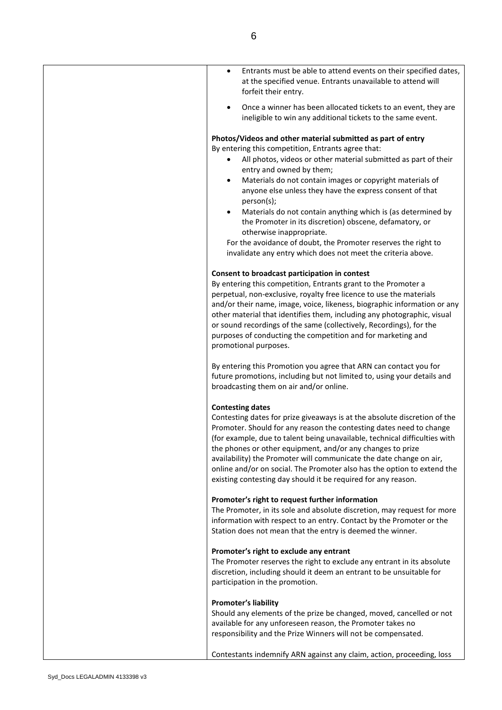| Entrants must be able to attend events on their specified dates,<br>$\bullet$<br>at the specified venue. Entrants unavailable to attend will<br>forfeit their entry.                                                                                                                                                                                                                                                                                                                                                                                                                                                                                               |
|--------------------------------------------------------------------------------------------------------------------------------------------------------------------------------------------------------------------------------------------------------------------------------------------------------------------------------------------------------------------------------------------------------------------------------------------------------------------------------------------------------------------------------------------------------------------------------------------------------------------------------------------------------------------|
| Once a winner has been allocated tickets to an event, they are<br>$\bullet$<br>ineligible to win any additional tickets to the same event.                                                                                                                                                                                                                                                                                                                                                                                                                                                                                                                         |
| Photos/Videos and other material submitted as part of entry<br>By entering this competition, Entrants agree that:<br>All photos, videos or other material submitted as part of their<br>entry and owned by them;<br>Materials do not contain images or copyright materials of<br>٠<br>anyone else unless they have the express consent of that<br>person(s);<br>Materials do not contain anything which is (as determined by<br>$\bullet$<br>the Promoter in its discretion) obscene, defamatory, or<br>otherwise inappropriate.<br>For the avoidance of doubt, the Promoter reserves the right to<br>invalidate any entry which does not meet the criteria above. |
| Consent to broadcast participation in contest<br>By entering this competition, Entrants grant to the Promoter a<br>perpetual, non-exclusive, royalty free licence to use the materials<br>and/or their name, image, voice, likeness, biographic information or any<br>other material that identifies them, including any photographic, visual<br>or sound recordings of the same (collectively, Recordings), for the<br>purposes of conducting the competition and for marketing and<br>promotional purposes.                                                                                                                                                      |
| By entering this Promotion you agree that ARN can contact you for<br>future promotions, including but not limited to, using your details and<br>broadcasting them on air and/or online.                                                                                                                                                                                                                                                                                                                                                                                                                                                                            |
| <b>Contesting dates</b><br>Contesting dates for prize giveaways is at the absolute discretion of the<br>Promoter. Should for any reason the contesting dates need to change<br>(for example, due to talent being unavailable, technical difficulties with<br>the phones or other equipment, and/or any changes to prize<br>availability) the Promoter will communicate the date change on air,<br>online and/or on social. The Promoter also has the option to extend the<br>existing contesting day should it be required for any reason.                                                                                                                         |
| Promoter's right to request further information<br>The Promoter, in its sole and absolute discretion, may request for more<br>information with respect to an entry. Contact by the Promoter or the<br>Station does not mean that the entry is deemed the winner.                                                                                                                                                                                                                                                                                                                                                                                                   |
| Promoter's right to exclude any entrant<br>The Promoter reserves the right to exclude any entrant in its absolute<br>discretion, including should it deem an entrant to be unsuitable for<br>participation in the promotion.                                                                                                                                                                                                                                                                                                                                                                                                                                       |
| <b>Promoter's liability</b><br>Should any elements of the prize be changed, moved, cancelled or not<br>available for any unforeseen reason, the Promoter takes no<br>responsibility and the Prize Winners will not be compensated.                                                                                                                                                                                                                                                                                                                                                                                                                                 |
| Contestants indemnify ARN against any claim, action, proceeding, loss                                                                                                                                                                                                                                                                                                                                                                                                                                                                                                                                                                                              |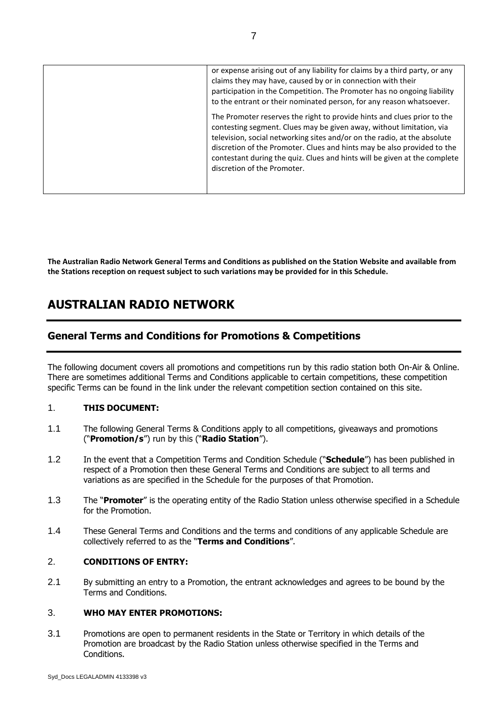| or expense arising out of any liability for claims by a third party, or any<br>claims they may have, caused by or in connection with their<br>participation in the Competition. The Promoter has no ongoing liability<br>to the entrant or their nominated person, for any reason whatsoever.                                                                                                                      |
|--------------------------------------------------------------------------------------------------------------------------------------------------------------------------------------------------------------------------------------------------------------------------------------------------------------------------------------------------------------------------------------------------------------------|
| The Promoter reserves the right to provide hints and clues prior to the<br>contesting segment. Clues may be given away, without limitation, via<br>television, social networking sites and/or on the radio, at the absolute<br>discretion of the Promoter. Clues and hints may be also provided to the<br>contestant during the quiz. Clues and hints will be given at the complete<br>discretion of the Promoter. |

**The Australian Radio Network General Terms and Conditions as published on the Station Website and available from the Stations reception on request subject to such variations may be provided for in this Schedule.**

# **AUSTRALIAN RADIO NETWORK**

# **General Terms and Conditions for Promotions & Competitions**

The following document covers all promotions and competitions run by this radio station both On-Air & Online. There are sometimes additional Terms and Conditions applicable to certain competitions, these competition specific Terms can be found in the link under the relevant competition section contained on this site.

#### 1. **THIS DOCUMENT:**

- 1.1 The following General Terms & Conditions apply to all competitions, giveaways and promotions ("**Promotion/s**") run by this ("**Radio Station**").
- 1.2 In the event that a Competition Terms and Condition Schedule ("**Schedule**") has been published in respect of a Promotion then these General Terms and Conditions are subject to all terms and variations as are specified in the Schedule for the purposes of that Promotion.
- 1.3 The "**Promoter**" is the operating entity of the Radio Station unless otherwise specified in a Schedule for the Promotion.
- 1.4 These General Terms and Conditions and the terms and conditions of any applicable Schedule are collectively referred to as the "**Terms and Conditions**".

# 2. **CONDITIONS OF ENTRY:**

2.1 By submitting an entry to a Promotion, the entrant acknowledges and agrees to be bound by the Terms and Conditions.

#### 3. **WHO MAY ENTER PROMOTIONS:**

3.1 Promotions are open to permanent residents in the State or Territory in which details of the Promotion are broadcast by the Radio Station unless otherwise specified in the Terms and Conditions.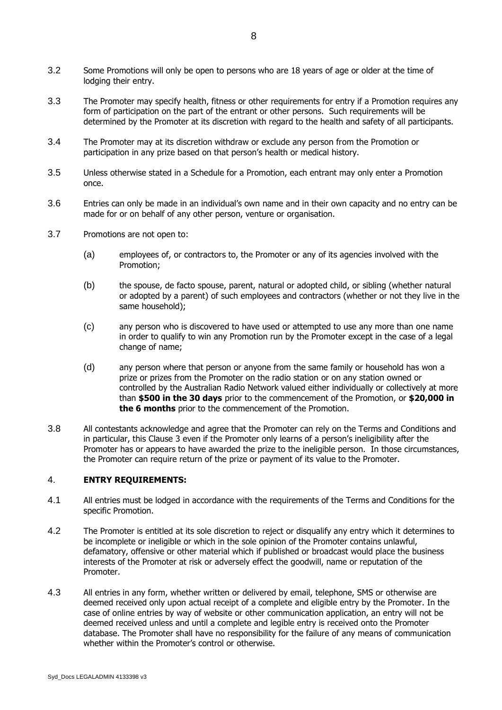- 3.2 Some Promotions will only be open to persons who are 18 years of age or older at the time of lodging their entry.
- 3.3 The Promoter may specify health, fitness or other requirements for entry if a Promotion requires any form of participation on the part of the entrant or other persons. Such requirements will be determined by the Promoter at its discretion with regard to the health and safety of all participants.
- 3.4 The Promoter may at its discretion withdraw or exclude any person from the Promotion or participation in any prize based on that person's health or medical history.
- 3.5 Unless otherwise stated in a Schedule for a Promotion, each entrant may only enter a Promotion once.
- 3.6 Entries can only be made in an individual's own name and in their own capacity and no entry can be made for or on behalf of any other person, venture or organisation.
- 3.7 Promotions are not open to:
	- (a) employees of, or contractors to, the Promoter or any of its agencies involved with the Promotion;
	- (b) the spouse, de facto spouse, parent, natural or adopted child, or sibling (whether natural or adopted by a parent) of such employees and contractors (whether or not they live in the same household);
	- (c) any person who is discovered to have used or attempted to use any more than one name in order to qualify to win any Promotion run by the Promoter except in the case of a legal change of name;
	- (d) any person where that person or anyone from the same family or household has won a prize or prizes from the Promoter on the radio station or on any station owned or controlled by the Australian Radio Network valued either individually or collectively at more than **\$500 in the 30 days** prior to the commencement of the Promotion, or **\$20,000 in the 6 months** prior to the commencement of the Promotion.
- 3.8 All contestants acknowledge and agree that the Promoter can rely on the Terms and Conditions and in particular, this Clause 3 even if the Promoter only learns of a person's ineligibility after the Promoter has or appears to have awarded the prize to the ineligible person. In those circumstances, the Promoter can require return of the prize or payment of its value to the Promoter.

#### 4. **ENTRY REQUIREMENTS:**

- 4.1 All entries must be lodged in accordance with the requirements of the Terms and Conditions for the specific Promotion.
- 4.2 The Promoter is entitled at its sole discretion to reject or disqualify any entry which it determines to be incomplete or ineligible or which in the sole opinion of the Promoter contains unlawful, defamatory, offensive or other material which if published or broadcast would place the business interests of the Promoter at risk or adversely effect the goodwill, name or reputation of the Promoter.
- 4.3 All entries in any form, whether written or delivered by email, telephone, SMS or otherwise are deemed received only upon actual receipt of a complete and eligible entry by the Promoter. In the case of online entries by way of website or other communication application, an entry will not be deemed received unless and until a complete and legible entry is received onto the Promoter database. The Promoter shall have no responsibility for the failure of any means of communication whether within the Promoter's control or otherwise.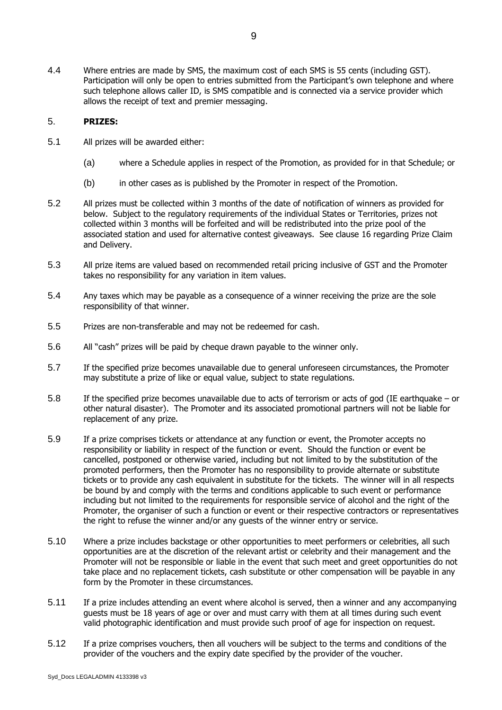4.4 Where entries are made by SMS, the maximum cost of each SMS is 55 cents (including GST). Participation will only be open to entries submitted from the Participant's own telephone and where such telephone allows caller ID, is SMS compatible and is connected via a service provider which allows the receipt of text and premier messaging.

#### 5. **PRIZES:**

- 5.1 All prizes will be awarded either:
	- (a) where a Schedule applies in respect of the Promotion, as provided for in that Schedule; or
	- (b) in other cases as is published by the Promoter in respect of the Promotion.
- 5.2 All prizes must be collected within 3 months of the date of notification of winners as provided for below. Subject to the regulatory requirements of the individual States or Territories, prizes not collected within 3 months will be forfeited and will be redistributed into the prize pool of the associated station and used for alternative contest giveaways. See clause 16 regarding Prize Claim and Delivery.
- 5.3 All prize items are valued based on recommended retail pricing inclusive of GST and the Promoter takes no responsibility for any variation in item values.
- 5.4 Any taxes which may be payable as a consequence of a winner receiving the prize are the sole responsibility of that winner.
- 5.5 Prizes are non-transferable and may not be redeemed for cash.
- 5.6 All "cash" prizes will be paid by cheque drawn payable to the winner only.
- 5.7 If the specified prize becomes unavailable due to general unforeseen circumstances, the Promoter may substitute a prize of like or equal value, subject to state regulations.
- 5.8 If the specified prize becomes unavailable due to acts of terrorism or acts of god (IE earthquake or other natural disaster). The Promoter and its associated promotional partners will not be liable for replacement of any prize.
- 5.9 If a prize comprises tickets or attendance at any function or event, the Promoter accepts no responsibility or liability in respect of the function or event. Should the function or event be cancelled, postponed or otherwise varied, including but not limited to by the substitution of the promoted performers, then the Promoter has no responsibility to provide alternate or substitute tickets or to provide any cash equivalent in substitute for the tickets. The winner will in all respects be bound by and comply with the terms and conditions applicable to such event or performance including but not limited to the requirements for responsible service of alcohol and the right of the Promoter, the organiser of such a function or event or their respective contractors or representatives the right to refuse the winner and/or any guests of the winner entry or service.
- 5.10 Where a prize includes backstage or other opportunities to meet performers or celebrities, all such opportunities are at the discretion of the relevant artist or celebrity and their management and the Promoter will not be responsible or liable in the event that such meet and greet opportunities do not take place and no replacement tickets, cash substitute or other compensation will be payable in any form by the Promoter in these circumstances.
- 5.11 If a prize includes attending an event where alcohol is served, then a winner and any accompanying guests must be 18 years of age or over and must carry with them at all times during such event valid photographic identification and must provide such proof of age for inspection on request.
- 5.12 If a prize comprises vouchers, then all vouchers will be subject to the terms and conditions of the provider of the vouchers and the expiry date specified by the provider of the voucher.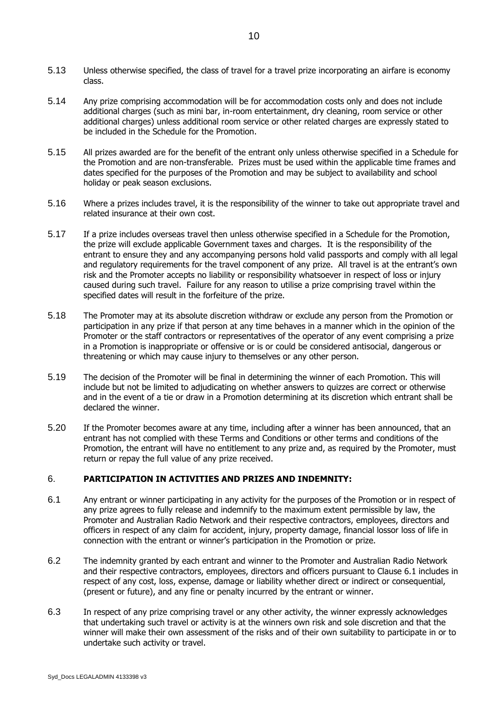- 5.13 Unless otherwise specified, the class of travel for a travel prize incorporating an airfare is economy class.
- 5.14 Any prize comprising accommodation will be for accommodation costs only and does not include additional charges (such as mini bar, in-room entertainment, dry cleaning, room service or other additional charges) unless additional room service or other related charges are expressly stated to be included in the Schedule for the Promotion.
- 5.15 All prizes awarded are for the benefit of the entrant only unless otherwise specified in a Schedule for the Promotion and are non-transferable. Prizes must be used within the applicable time frames and dates specified for the purposes of the Promotion and may be subject to availability and school holiday or peak season exclusions.
- 5.16 Where a prizes includes travel, it is the responsibility of the winner to take out appropriate travel and related insurance at their own cost.
- 5.17 If a prize includes overseas travel then unless otherwise specified in a Schedule for the Promotion, the prize will exclude applicable Government taxes and charges. It is the responsibility of the entrant to ensure they and any accompanying persons hold valid passports and comply with all legal and regulatory requirements for the travel component of any prize. All travel is at the entrant's own risk and the Promoter accepts no liability or responsibility whatsoever in respect of loss or injury caused during such travel. Failure for any reason to utilise a prize comprising travel within the specified dates will result in the forfeiture of the prize.
- 5.18 The Promoter may at its absolute discretion withdraw or exclude any person from the Promotion or participation in any prize if that person at any time behaves in a manner which in the opinion of the Promoter or the staff contractors or representatives of the operator of any event comprising a prize in a Promotion is inappropriate or offensive or is or could be considered antisocial, dangerous or threatening or which may cause injury to themselves or any other person.
- 5.19 The decision of the Promoter will be final in determining the winner of each Promotion. This will include but not be limited to adjudicating on whether answers to quizzes are correct or otherwise and in the event of a tie or draw in a Promotion determining at its discretion which entrant shall be declared the winner.
- 5.20 If the Promoter becomes aware at any time, including after a winner has been announced, that an entrant has not complied with these Terms and Conditions or other terms and conditions of the Promotion, the entrant will have no entitlement to any prize and, as required by the Promoter, must return or repay the full value of any prize received.

#### 6. **PARTICIPATION IN ACTIVITIES AND PRIZES AND INDEMNITY:**

- <span id="page-9-0"></span>6.1 Any entrant or winner participating in any activity for the purposes of the Promotion or in respect of any prize agrees to fully release and indemnify to the maximum extent permissible by law, the Promoter and Australian Radio Network and their respective contractors, employees, directors and officers in respect of any claim for accident, injury, property damage, financial lossor loss of life in connection with the entrant or winner's participation in the Promotion or prize.
- 6.2 The indemnity granted by each entrant and winner to the Promoter and Australian Radio Network and their respective contractors, employees, directors and officers pursuant to Clause 6.1 includes in respect of any cost, loss, expense, damage or liability whether direct or indirect or consequential, (present or future), and any fine or penalty incurred by the entrant or winner.
- 6.3 In respect of any prize comprising travel or any other activity, the winner expressly acknowledges that undertaking such travel or activity is at the winners own risk and sole discretion and that the winner will make their own assessment of the risks and of their own suitability to participate in or to undertake such activity or travel.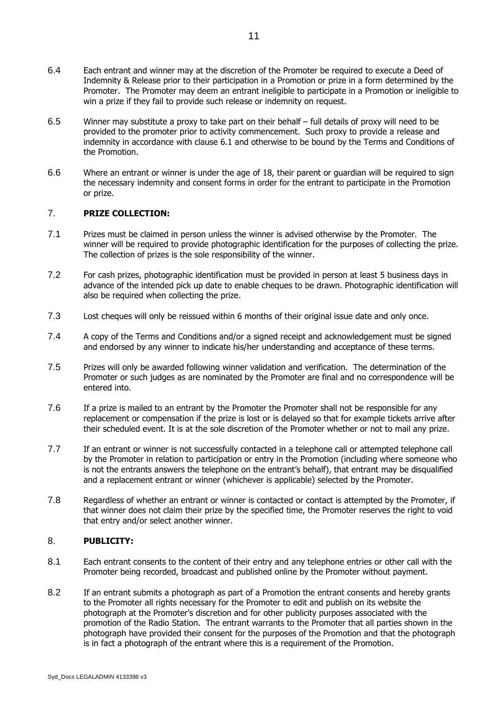- 6.4 Each entrant and winner may at the discretion of the Promoter be required to execute a Deed of Indemnity & Release prior to their participation in a Promotion or prize in a form determined by the Promoter. The Promoter may deem an entrant ineligible to participate in a Promotion or ineligible to win a prize if they fail to provide such release or indemnity on request.
- 6.5 Winner may substitute a proxy to take part on their behalf full details of proxy will need to be provided to the promoter prior to activity commencement. Such proxy to provide a release and indemnity in accordance with clause [6.1](#page-9-0) and otherwise to be bound by the Terms and Conditions of the Promotion.
- 6.6 Where an entrant or winner is under the age of 18, their parent or guardian will be required to sign the necessary indemnity and consent forms in order for the entrant to participate in the Promotion or prize.

## 7. **PRIZE COLLECTION:**

- 7.1 Prizes must be claimed in person unless the winner is advised otherwise by the Promoter. The winner will be required to provide photographic identification for the purposes of collecting the prize. The collection of prizes is the sole responsibility of the winner.
- 7.2 For cash prizes, photographic identification must be provided in person at least 5 business days in advance of the intended pick up date to enable cheques to be drawn. Photographic identification will also be required when collecting the prize.
- 7.3 Lost cheques will only be reissued within 6 months of their original issue date and only once.
- 7.4 A copy of the Terms and Conditions and/or a signed receipt and acknowledgement must be signed and endorsed by any winner to indicate his/her understanding and acceptance of these terms.
- 7.5 Prizes will only be awarded following winner validation and verification. The determination of the Promoter or such judges as are nominated by the Promoter are final and no correspondence will be entered into.
- 7.6 If a prize is mailed to an entrant by the Promoter the Promoter shall not be responsible for any replacement or compensation if the prize is lost or is delayed so that for example tickets arrive after their scheduled event. It is at the sole discretion of the Promoter whether or not to mail any prize.
- 7.7 If an entrant or winner is not successfully contacted in a telephone call or attempted telephone call by the Promoter in relation to participation or entry in the Promotion (including where someone who is not the entrants answers the telephone on the entrant's behalf), that entrant may be disqualified and a replacement entrant or winner (whichever is applicable) selected by the Promoter.
- 7.8 Regardless of whether an entrant or winner is contacted or contact is attempted by the Promoter, if that winner does not claim their prize by the specified time, the Promoter reserves the right to void that entry and/or select another winner.

# 8. **PUBLICITY:**

- 8.1 Each entrant consents to the content of their entry and any telephone entries or other call with the Promoter being recorded, broadcast and published online by the Promoter without payment.
- 8.2 If an entrant submits a photograph as part of a Promotion the entrant consents and hereby grants to the Promoter all rights necessary for the Promoter to edit and publish on its website the photograph at the Promoter's discretion and for other publicity purposes associated with the promotion of the Radio Station. The entrant warrants to the Promoter that all parties shown in the photograph have provided their consent for the purposes of the Promotion and that the photograph is in fact a photograph of the entrant where this is a requirement of the Promotion.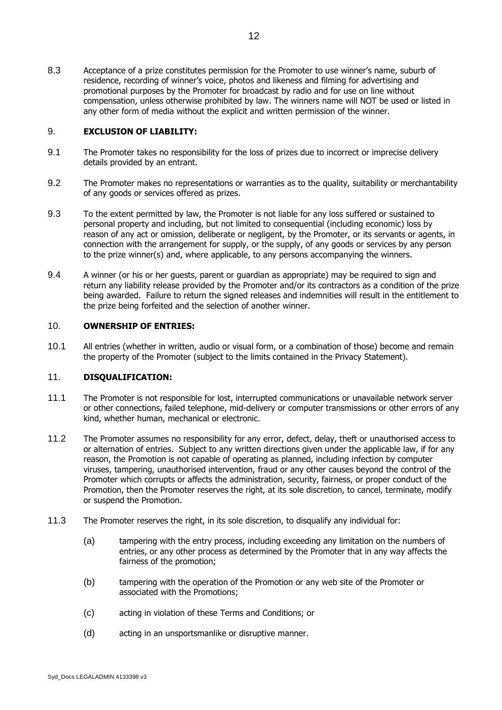8.3 Acceptance of a prize constitutes permission for the Promoter to use winner's name, suburb of residence, recording of winner's voice, photos and likeness and filming for advertising and promotional purposes by the Promoter for broadcast by radio and for use on line without compensation, unless otherwise prohibited by law. The winners name will NOT be used or listed in any other form of media without the explicit and written permission of the winner.

#### 9. **EXCLUSION OF LIABILITY:**

- 9.1 The Promoter takes no responsibility for the loss of prizes due to incorrect or imprecise delivery details provided by an entrant.
- 9.2 The Promoter makes no representations or warranties as to the quality, suitability or merchantability of any goods or services offered as prizes.
- 9.3 To the extent permitted by law, the Promoter is not liable for any loss suffered or sustained to personal property and including, but not limited to consequential (including economic) loss by reason of any act or omission, deliberate or negligent, by the Promoter, or its servants or agents, in connection with the arrangement for supply, or the supply, of any goods or services by any person to the prize winner(s) and, where applicable, to any persons accompanying the winners.
- 9.4 A winner (or his or her guests, parent or guardian as appropriate) may be required to sign and return any liability release provided by the Promoter and/or its contractors as a condition of the prize being awarded. Failure to return the signed releases and indemnities will result in the entitlement to the prize being forfeited and the selection of another winner.

#### 10. **OWNERSHIP OF ENTRIES:**

10.1 All entries (whether in written, audio or visual form, or a combination of those) become and remain the property of the Promoter (subject to the limits contained in the Privacy Statement).

#### 11. **DISQUALIFICATION:**

- 11.1 The Promoter is not responsible for lost, interrupted communications or unavailable network server or other connections, failed telephone, mid-delivery or computer transmissions or other errors of any kind, whether human, mechanical or electronic.
- 11.2 The Promoter assumes no responsibility for any error, defect, delay, theft or unauthorised access to or alternation of entries. Subject to any written directions given under the applicable law, if for any reason, the Promotion is not capable of operating as planned, including infection by computer viruses, tampering, unauthorised intervention, fraud or any other causes beyond the control of the Promoter which corrupts or affects the administration, security, fairness, or proper conduct of the Promotion, then the Promoter reserves the right, at its sole discretion, to cancel, terminate, modify or suspend the Promotion.
- 11.3 The Promoter reserves the right, in its sole discretion, to disqualify any individual for:
	- (a) tampering with the entry process, including exceeding any limitation on the numbers of entries, or any other process as determined by the Promoter that in any way affects the fairness of the promotion;
	- (b) tampering with the operation of the Promotion or any web site of the Promoter or associated with the Promotions;
	- (c) acting in violation of these Terms and Conditions; or
	- (d) acting in an unsportsmanlike or disruptive manner.